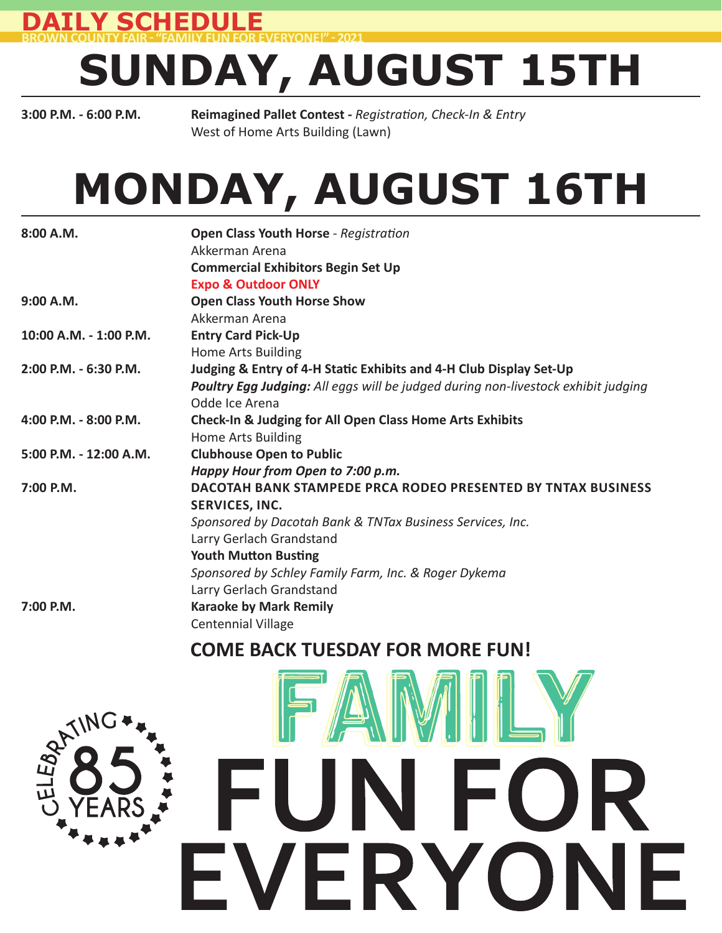**DAILY SCHEDULE BROWN COUNTY FAIR - "FAMILY FUN FOR EVERYONE!" - 2021** 

# **SUNDAY, AUGUST 15TH**

**3:00 P.M. - 6:00 P.M. Reimagined Pallet Contest -** *Registration, Check-In & Entry* West of Home Arts Building (Lawn)

# **MONDAY, AUGUST 16TH**

| 8:00 A.M.              | Open Class Youth Horse - Registration<br>Akkerman Arena                           |
|------------------------|-----------------------------------------------------------------------------------|
|                        | <b>Commercial Exhibitors Begin Set Up</b>                                         |
|                        |                                                                                   |
|                        | <b>Expo &amp; Outdoor ONLY</b>                                                    |
| 9:00 A.M.              | <b>Open Class Youth Horse Show</b>                                                |
|                        | Akkerman Arena                                                                    |
| 10:00 A.M. - 1:00 P.M. | <b>Entry Card Pick-Up</b>                                                         |
|                        | Home Arts Building                                                                |
| 2:00 P.M. - 6:30 P.M.  | Judging & Entry of 4-H Static Exhibits and 4-H Club Display Set-Up                |
|                        | Poultry Egg Judging: All eggs will be judged during non-livestock exhibit judging |
|                        | Odde Ice Arena                                                                    |
| 4:00 P.M. - 8:00 P.M.  | <b>Check-In &amp; Judging for All Open Class Home Arts Exhibits</b>               |
|                        | Home Arts Building                                                                |
| 5:00 P.M. - 12:00 A.M. | <b>Clubhouse Open to Public</b>                                                   |
|                        | Happy Hour from Open to 7:00 p.m.                                                 |
| 7:00 P.M.              | <b>DACOTAH BANK STAMPEDE PRCA RODEO PRESENTED BY TNTAX BUSINESS</b>               |
|                        | SERVICES, INC.                                                                    |
|                        | Sponsored by Dacotah Bank & TNTax Business Services, Inc.                         |
|                        | Larry Gerlach Grandstand                                                          |
|                        | <b>Youth Mutton Busting</b>                                                       |
|                        | Sponsored by Schley Family Farm, Inc. & Roger Dykema                              |
|                        | Larry Gerlach Grandstand                                                          |
| 7:00 P.M.              | <b>Karaoke by Mark Remily</b>                                                     |
|                        | <b>Centennial Village</b>                                                         |

#### **COME BACK TUESDAY FOR MORE FUN!**



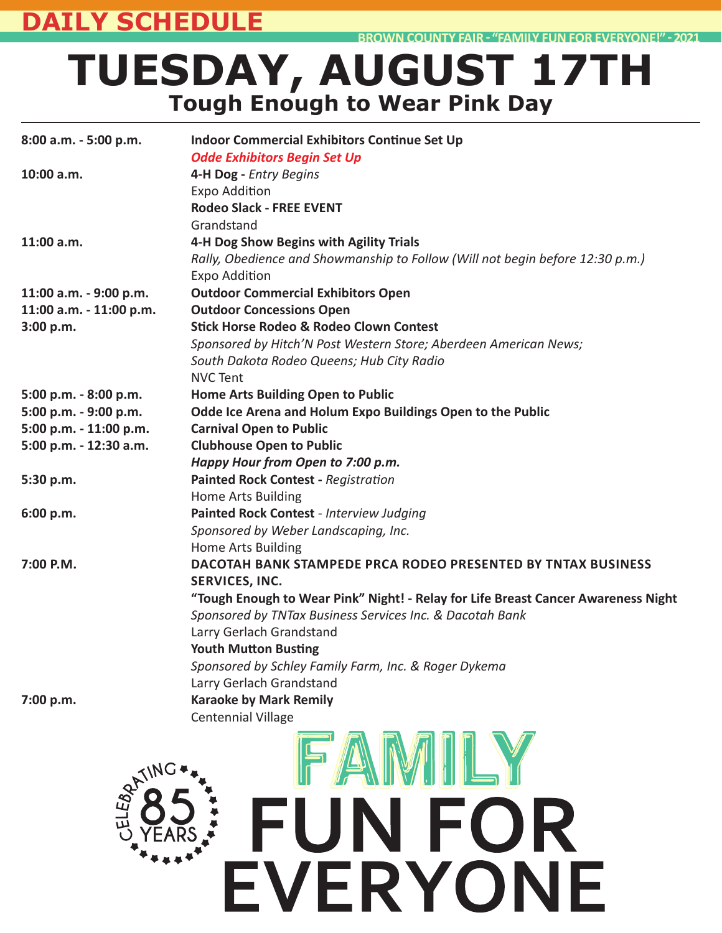#### **DAILY SCHEDULE**

**BROWN COUNTY FAIR ͳ "FAMILY FUN FOR EVERYONE!" ͳ 2021**

## **TUESDAY, AUGUST 17TH Tough Enough to Wear Pink Day**

| 8:00 a.m. - 5:00 p.m.   | <b>Indoor Commercial Exhibitors Continue Set Up</b><br><b>Odde Exhibitors Begin Set Up</b> |
|-------------------------|--------------------------------------------------------------------------------------------|
| 10:00 a.m.              | 4-H Dog - Entry Begins                                                                     |
|                         | <b>Expo Addition</b>                                                                       |
|                         | <b>Rodeo Slack - FREE EVENT</b>                                                            |
|                         | Grandstand                                                                                 |
| $11:00$ a.m.            | 4-H Dog Show Begins with Agility Trials                                                    |
|                         | Rally, Obedience and Showmanship to Follow (Will not begin before 12:30 p.m.)              |
|                         | <b>Expo Addition</b>                                                                       |
| 11:00 a.m. - 9:00 p.m.  | <b>Outdoor Commercial Exhibitors Open</b>                                                  |
| 11:00 a.m. - 11:00 p.m. | <b>Outdoor Concessions Open</b>                                                            |
| 3:00 p.m.               | <b>Stick Horse Rodeo &amp; Rodeo Clown Contest</b>                                         |
|                         |                                                                                            |
|                         | Sponsored by Hitch'N Post Western Store; Aberdeen American News;                           |
|                         | South Dakota Rodeo Queens; Hub City Radio<br><b>NVC Tent</b>                               |
|                         |                                                                                            |
| 5:00 p.m. - 8:00 p.m.   | Home Arts Building Open to Public                                                          |
| 5:00 p.m. - 9:00 p.m.   | Odde Ice Arena and Holum Expo Buildings Open to the Public                                 |
| 5:00 p.m. - 11:00 p.m.  | <b>Carnival Open to Public</b>                                                             |
| 5:00 p.m. - 12:30 a.m.  | <b>Clubhouse Open to Public</b>                                                            |
|                         | Happy Hour from Open to 7:00 p.m.                                                          |
| 5:30 p.m.               | <b>Painted Rock Contest - Registration</b>                                                 |
|                         | Home Arts Building                                                                         |
| 6:00 p.m.               | Painted Rock Contest - Interview Judging                                                   |
|                         | Sponsored by Weber Landscaping, Inc.                                                       |
|                         | Home Arts Building                                                                         |
| 7:00 P.M.               | DACOTAH BANK STAMPEDE PRCA RODEO PRESENTED BY TNTAX BUSINESS                               |
|                         | SERVICES, INC.                                                                             |
|                         | "Tough Enough to Wear Pink" Night! - Relay for Life Breast Cancer Awareness Night          |
|                         | Sponsored by TNTax Business Services Inc. & Dacotah Bank                                   |
|                         | Larry Gerlach Grandstand                                                                   |
|                         | <b>Youth Mutton Busting</b>                                                                |
|                         | Sponsored by Schley Family Farm, Inc. & Roger Dykema                                       |
|                         | Larry Gerlach Grandstand                                                                   |
| 7:00 p.m.               | <b>Karaoke by Mark Remily</b>                                                              |
|                         | <b>Centennial Village</b>                                                                  |
| -LEBSTING               | <b>FUN FOR</b><br><b>/ERYONE</b>                                                           |
|                         |                                                                                            |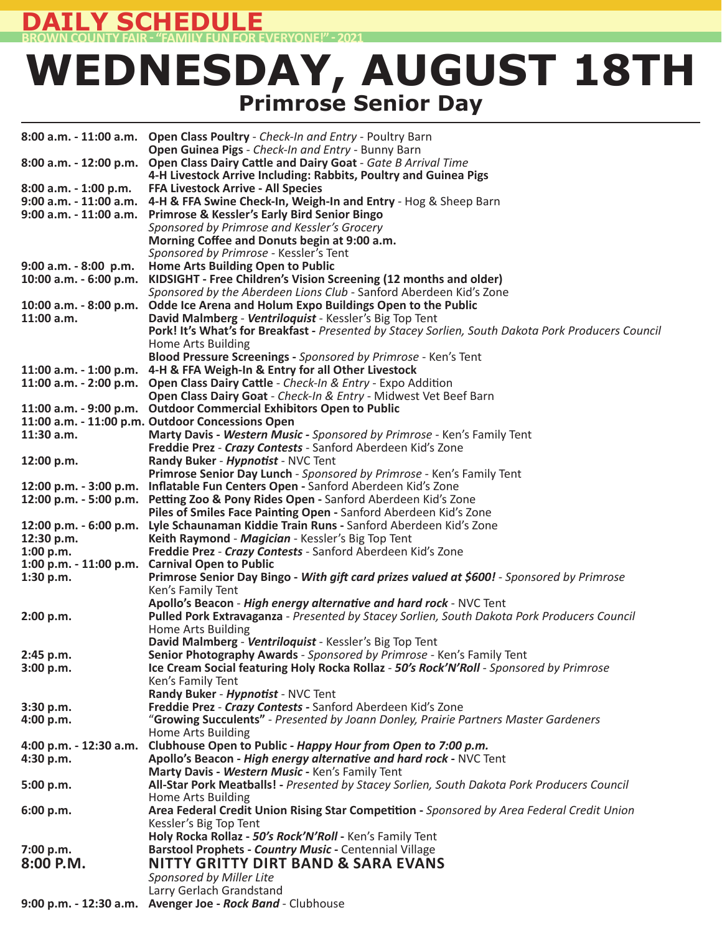#### **Y SCHEDULE BROWN COUNTY FAIR ͳ "FAMILY FUN FOR EVERYONE!" ͳ 2021**

### **WEDNESDAY, AUGUST 18TH Primrose Senior Day**

|                          | 8:00 a.m. - 11:00 a.m. Open Class Poultry - Check-In and Entry - Poultry Barn                                                                                 |
|--------------------------|---------------------------------------------------------------------------------------------------------------------------------------------------------------|
|                          | Open Guinea Pigs - Check-In and Entry - Bunny Barn<br>8:00 a.m. - 12:00 p.m. Open Class Dairy Cattle and Dairy Goat - Gate B Arrival Time                     |
|                          | 4-H Livestock Arrive Including: Rabbits, Poultry and Guinea Pigs                                                                                              |
| 8:00 a.m. - 1:00 p.m.    | <b>FFA Livestock Arrive - All Species</b>                                                                                                                     |
|                          | 9:00 a.m. - 11:00 a.m. 4-H & FFA Swine Check-In, Weigh-In and Entry - Hog & Sheep Barn                                                                        |
|                          | 9:00 a.m. - 11:00 a.m. Primrose & Kessler's Early Bird Senior Bingo<br>Sponsored by Primrose and Kessler's Grocery                                            |
|                          | Morning Coffee and Donuts begin at 9:00 a.m.                                                                                                                  |
|                          | Sponsored by Primrose - Kessler's Tent                                                                                                                        |
| $9:00$ a.m. $-8:00$ p.m. | Home Arts Building Open to Public                                                                                                                             |
| 10:00 a.m. - 6:00 p.m.   | KIDSIGHT - Free Children's Vision Screening (12 months and older)                                                                                             |
|                          | Sponsored by the Aberdeen Lions Club - Sanford Aberdeen Kid's Zone                                                                                            |
| 10:00 a.m. - 8:00 p.m.   | Odde Ice Arena and Holum Expo Buildings Open to the Public                                                                                                    |
| 11:00 a.m.               | David Malmberg - Ventriloquist - Kessler's Big Top Tent<br>Pork! It's What's for Breakfast - Presented by Stacey Sorlien, South Dakota Pork Producers Council |
|                          | Home Arts Building                                                                                                                                            |
|                          | Blood Pressure Screenings - Sponsored by Primrose - Ken's Tent                                                                                                |
|                          | 11:00 a.m. - 1:00 p.m. 4-H & FFA Weigh-In & Entry for all Other Livestock                                                                                     |
|                          | 11:00 a.m. - 2:00 p.m. Open Class Dairy Cattle - Check-In & Entry - Expo Addition                                                                             |
|                          | Open Class Dairy Goat - Check-In & Entry - Midwest Vet Beef Barn                                                                                              |
|                          | 11:00 a.m. - 9:00 p.m. Outdoor Commercial Exhibitors Open to Public                                                                                           |
| 11:30 a.m.               | 11:00 a.m. - 11:00 p.m. Outdoor Concessions Open<br>Marty Davis - Western Music - Sponsored by Primrose - Ken's Family Tent                                   |
|                          | Freddie Prez - Crazy Contests - Sanford Aberdeen Kid's Zone                                                                                                   |
| 12:00 p.m.               | Randy Buker - Hypnotist - NVC Tent                                                                                                                            |
|                          | Primrose Senior Day Lunch - Sponsored by Primrose - Ken's Family Tent                                                                                         |
|                          | 12:00 p.m. - 3:00 p.m. Inflatable Fun Centers Open - Sanford Aberdeen Kid's Zone                                                                              |
|                          | 12:00 p.m. - 5:00 p.m. Petting Zoo & Pony Rides Open - Sanford Aberdeen Kid's Zone                                                                            |
|                          | Piles of Smiles Face Painting Open - Sanford Aberdeen Kid's Zone<br>12:00 p.m. - 6:00 p.m. Lyle Schaunaman Kiddie Train Runs - Sanford Aberdeen Kid's Zone    |
| 12:30 p.m.               | Keith Raymond - Magician - Kessler's Big Top Tent                                                                                                             |
| 1:00 p.m.                | Freddie Prez - Crazy Contests - Sanford Aberdeen Kid's Zone                                                                                                   |
|                          | 1:00 p.m. - 11:00 p.m. Carnival Open to Public                                                                                                                |
| 1:30 p.m.                | Primrose Senior Day Bingo - With gift card prizes valued at \$600! - Sponsored by Primrose                                                                    |
|                          | Ken's Family Tent                                                                                                                                             |
|                          | Apollo's Beacon - High energy alternative and hard rock - NVC Tent                                                                                            |
| 2:00 p.m.                | Pulled Pork Extravaganza - Presented by Stacey Sorlien, South Dakota Pork Producers Council<br><b>Home Arts Building</b>                                      |
|                          | David Malmberg - Ventriloquist - Kessler's Big Top Tent                                                                                                       |
| 2:45 p.m.                | Senior Photography Awards - Sponsored by Primrose - Ken's Family Tent                                                                                         |
| 3:00 p.m.                | Ice Cream Social featuring Holy Rocka Rollaz - 50's Rock'N'Roll - Sponsored by Primrose                                                                       |
|                          | Ken's Family Tent                                                                                                                                             |
|                          | Randy Buker - Hypnotist - NVC Tent                                                                                                                            |
| 3:30 p.m.<br>4:00 p.m.   | Freddie Prez - Crazy Contests - Sanford Aberdeen Kid's Zone<br>"Growing Succulents" - Presented by Joann Donley, Prairie Partners Master Gardeners            |
|                          | Home Arts Building                                                                                                                                            |
|                          | 4:00 p.m. - 12:30 a.m. Clubhouse Open to Public - Happy Hour from Open to 7:00 p.m.                                                                           |
| 4:30 p.m.                | Apollo's Beacon - High energy alternative and hard rock - NVC Tent                                                                                            |
|                          | Marty Davis - Western Music - Ken's Family Tent                                                                                                               |
| 5:00 p.m.                | All-Star Pork Meatballs! - Presented by Stacey Sorlien, South Dakota Pork Producers Council                                                                   |
|                          | Home Arts Building                                                                                                                                            |
| 6:00 p.m.                | Area Federal Credit Union Rising Star Competition - Sponsored by Area Federal Credit Union<br>Kessler's Big Top Tent                                          |
|                          | Holy Rocka Rollaz - 50's Rock'N'Roll - Ken's Family Tent                                                                                                      |
| 7:00 p.m.                | Barstool Prophets - Country Music - Centennial Village                                                                                                        |
| 8:00 P.M.                | <b>NITTY GRITTY DIRT BAND &amp; SARA EVANS</b>                                                                                                                |
|                          | Sponsored by Miller Lite                                                                                                                                      |
|                          | Larry Gerlach Grandstand                                                                                                                                      |
|                          | 9:00 p.m. - 12:30 a.m. Avenger Joe - Rock Band - Clubhouse                                                                                                    |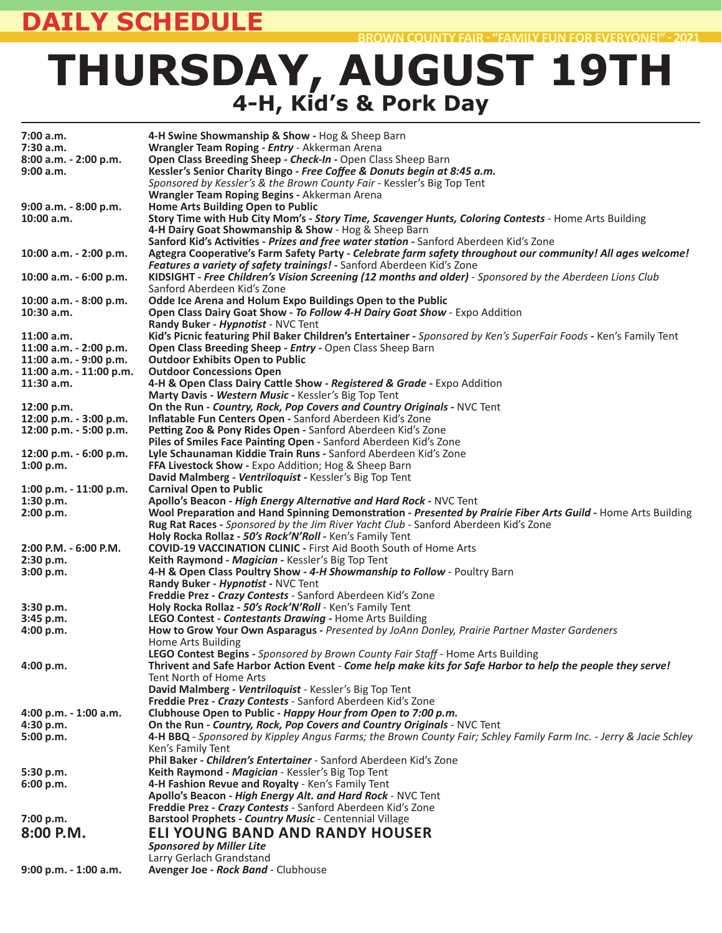### **DAILY SCHEDULE**

## **THURSDAY, AUGUST 19TH 4-H, Kid's & Pork Day**

| 7:00 a.m.                 | 4-H Swine Showmanship & Show - Hog & Sheep Barn                                                                         |
|---------------------------|-------------------------------------------------------------------------------------------------------------------------|
| 7:30 a.m.                 | Wrangler Team Roping - Entry - Akkerman Arena                                                                           |
| 8:00 a.m. - 2:00 p.m.     | Open Class Breeding Sheep - Check-In - Open Class Sheep Barn                                                            |
| 9:00 a.m.                 | Kessler's Senior Charity Bingo - Free Coffee & Donuts begin at 8:45 a.m.                                                |
|                           | Sponsored by Kessler's & the Brown County Fair - Kessler's Big Top Tent                                                 |
|                           | Wrangler Team Roping Begins - Akkerman Arena                                                                            |
| $9:00$ a.m. $-8:00$ p.m.  | Home Arts Building Open to Public                                                                                       |
| 10:00 a.m.                | Story Time with Hub City Mom's - Story Time, Scavenger Hunts, Coloring Contests - Home Arts Building                    |
|                           | 4-H Dairy Goat Showmanship & Show - Hog & Sheep Barn                                                                    |
|                           | Sanford Kid's Activities - Prizes and free water station - Sanford Aberdeen Kid's Zone                                  |
| 10:00 a.m. - 2:00 p.m.    | Agtegra Cooperative's Farm Safety Party - Celebrate farm safety throughout our community! All ages welcome!             |
|                           | Features a variety of safety trainings! - Sanford Aberdeen Kid's Zone                                                   |
| 10:00 a.m. $-6:00$ p.m.   | KIDSIGHT - Free Children's Vision Screening (12 months and older) - Sponsored by the Aberdeen Lions Club                |
|                           | Sanford Aberdeen Kid's Zone                                                                                             |
| 10:00 a.m. - 8:00 p.m.    | Odde Ice Arena and Holum Expo Buildings Open to the Public                                                              |
| 10:30 a.m.                | Open Class Dairy Goat Show - To Follow 4-H Dairy Goat Show - Expo Addition                                              |
|                           | Randy Buker - Hypnotist - NVC Tent                                                                                      |
| 11:00 a.m.                | Kid's Picnic featuring Phil Baker Children's Entertainer - Sponsored by Ken's SuperFair Foods - Ken's Family Tent       |
| 11:00 a.m. - 2:00 p.m.    | Open Class Breeding Sheep - Entry - Open Class Sheep Barn                                                               |
| 11:00 a.m. - 9:00 p.m.    | <b>Outdoor Exhibits Open to Public</b>                                                                                  |
| 11:00 a.m. - 11:00 p.m.   | <b>Outdoor Concessions Open</b>                                                                                         |
| 11:30 a.m.                | 4-H & Open Class Dairy Cattle Show - Registered & Grade - Expo Addition                                                 |
|                           | Marty Davis - Western Music - Kessler's Big Top Tent                                                                    |
| 12:00 p.m.                | On the Run - Country, Rock, Pop Covers and Country Originals - NVC Tent                                                 |
| 12:00 p.m. - 3:00 p.m.    | Inflatable Fun Centers Open - Sanford Aberdeen Kid's Zone                                                               |
| 12:00 p.m. - 5:00 p.m.    | Petting Zoo & Pony Rides Open - Sanford Aberdeen Kid's Zone                                                             |
|                           | Piles of Smiles Face Painting Open - Sanford Aberdeen Kid's Zone                                                        |
| $12:00$ p.m. $-6:00$ p.m. | Lyle Schaunaman Kiddie Train Runs - Sanford Aberdeen Kid's Zone                                                         |
| 1:00 p.m.                 | FFA Livestock Show - Expo Addition; Hog & Sheep Barn                                                                    |
|                           | David Malmberg - Ventriloquist - Kessler's Big Top Tent                                                                 |
| 1:00 p.m. $-$ 11:00 p.m.  | <b>Carnival Open to Public</b>                                                                                          |
|                           | Apollo's Beacon - High Energy Alternative and Hard Rock - NVC Tent                                                      |
| 1:30 p.m.                 | Wool Preparation and Hand Spinning Demonstration - Presented by Prairie Fiber Arts Guild - Home Arts Building           |
| 2:00 p.m.                 | Rug Rat Races - Sponsored by the Jim River Yacht Club - Sanford Aberdeen Kid's Zone                                     |
|                           | Holy Rocka Rollaz - 50's Rock'N'Roll - Ken's Family Tent                                                                |
| $2:00$ P.M. $-6:00$ P.M.  | <b>COVID-19 VACCINATION CLINIC - First Aid Booth South of Home Arts</b>                                                 |
|                           | Keith Raymond - Magician - Kessler's Big Top Tent                                                                       |
| 2:30 p.m.                 | 4-H & Open Class Poultry Show - 4-H Showmanship to Follow - Poultry Barn                                                |
| 3:00 p.m.                 |                                                                                                                         |
|                           | Randy Buker - <i>Hypnotist</i> - NVC Tent                                                                               |
|                           | Freddie Prez - Crazy Contests - Sanford Aberdeen Kid's Zone<br>Holy Rocka Rollaz - 50's Rock'N'Roll - Ken's Family Tent |
| 3:30 p.m.                 | LEGO Contest - Contestants Drawing - Home Arts Building                                                                 |
| 3:45 p.m.<br>4:00 p.m.    |                                                                                                                         |
|                           | How to Grow Your Own Asparagus - Presented by JoAnn Donley, Prairie Partner Master Gardeners<br>Home Arts Building      |
|                           | LEGO Contest Begins - Sponsored by Brown County Fair Staff - Home Arts Building                                         |
|                           | Thrivent and Safe Harbor Action Event - Come help make kits for Safe Harbor to help the people they serve!              |
| 4:00 p.m.                 |                                                                                                                         |
|                           | Tent North of Home Arts<br>David Malmberg - Ventriloquist - Kessler's Big Top Tent                                      |
|                           |                                                                                                                         |
|                           | Freddie Prez - Crazy Contests - Sanford Aberdeen Kid's Zone                                                             |
| $4:00 p.m. - 1:00 a.m.$   | Clubhouse Open to Public - Happy Hour from Open to 7:00 p.m.                                                            |
| 4:30 p.m.                 | On the Run - Country, Rock, Pop Covers and Country Originals - NVC Tent                                                 |
| 5:00 p.m.                 | 4-H BBQ - Sponsored by Kippley Angus Farms; the Brown County Fair; Schley Family Farm Inc. - Jerry & Jacie Schley       |
|                           | Ken's Family Tent                                                                                                       |
|                           | Phil Baker - Children's Entertainer - Sanford Aberdeen Kid's Zone                                                       |
| 5:30 p.m.                 | Keith Raymond - Magician - Kessler's Big Top Tent                                                                       |
| 6:00 p.m.                 | 4-H Fashion Revue and Royalty - Ken's Family Tent                                                                       |
|                           | Apollo's Beacon - High Energy Alt. and Hard Rock - NVC Tent                                                             |
|                           | Freddie Prez - Crazy Contests - Sanford Aberdeen Kid's Zone                                                             |
| 7:00 p.m.                 | Barstool Prophets - Country Music - Centennial Village                                                                  |
| 8:00 P.M.                 | <b>ELI YOUNG BAND AND RANDY HOUSER</b>                                                                                  |
|                           | <b>Sponsored by Miller Lite</b>                                                                                         |
|                           | Larry Gerlach Grandstand                                                                                                |
| 9:00 p.m. - 1:00 a.m.     | Avenger Joe - Rock Band - Clubhouse                                                                                     |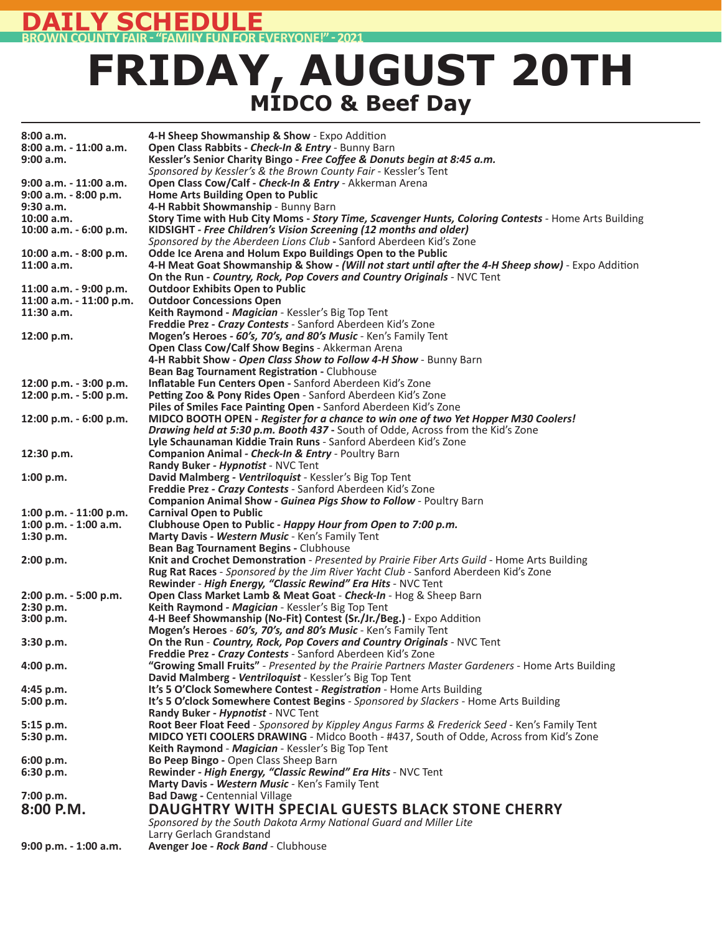#### **EDULE BROWN COUNTY FAIR ͳ "FAMILY FUN FOR EVERYONE!" ͳ 2021**

### **FRIDAY, AUGUST 20TH MIDCO & Beef Day**

| 8:00a.m.<br>8:00 a.m. - 11:00 a.m. | 4-H Sheep Showmanship & Show - Expo Addition<br>Open Class Rabbits - Check-In & Entry - Bunny Barn                        |
|------------------------------------|---------------------------------------------------------------------------------------------------------------------------|
| 9:00 a.m.                          | Kessler's Senior Charity Bingo - Free Coffee & Donuts begin at 8:45 a.m.                                                  |
|                                    | Sponsored by Kessler's & the Brown County Fair - Kessler's Tent                                                           |
| 9:00 a.m. - 11:00 a.m.             | Open Class Cow/Calf - Check-In & Entry - Akkerman Arena                                                                   |
| 9:00 a.m. - 8:00 p.m.              | Home Arts Building Open to Public                                                                                         |
| 9:30 a.m.                          | 4-H Rabbit Showmanship - Bunny Barn                                                                                       |
| 10:00 a.m.                         | Story Time with Hub City Moms - Story Time, Scavenger Hunts, Coloring Contests - Home Arts Building                       |
| 10:00 a.m. - 6:00 p.m.             | KIDSIGHT - Free Children's Vision Screening (12 months and older)                                                         |
|                                    | Sponsored by the Aberdeen Lions Club - Sanford Aberdeen Kid's Zone                                                        |
| 10:00 a.m. - 8:00 p.m.             | Odde Ice Arena and Holum Expo Buildings Open to the Public                                                                |
| 11:00 a.m.                         | 4-H Meat Goat Showmanship & Show - (Will not start until after the 4-H Sheep show) - Expo Addition                        |
|                                    | On the Run - Country, Rock, Pop Covers and Country Originals - NVC Tent                                                   |
| 11:00 a.m. - 9:00 p.m.             | <b>Outdoor Exhibits Open to Public</b>                                                                                    |
| 11:00 a.m. - 11:00 p.m.            | <b>Outdoor Concessions Open</b>                                                                                           |
| 11:30 a.m.                         | Keith Raymond - Magician - Kessler's Big Top Tent                                                                         |
|                                    | Freddie Prez - Crazy Contests - Sanford Aberdeen Kid's Zone                                                               |
| 12:00 p.m.                         | Mogen's Heroes - 60's, 70's, and 80's Music - Ken's Family Tent                                                           |
|                                    | Open Class Cow/Calf Show Begins - Akkerman Arena                                                                          |
|                                    | 4-H Rabbit Show - Open Class Show to Follow 4-H Show - Bunny Barn                                                         |
|                                    | Bean Bag Tournament Registration - Clubhouse                                                                              |
| 12:00 p.m. - 3:00 p.m.             | Inflatable Fun Centers Open - Sanford Aberdeen Kid's Zone                                                                 |
| 12:00 p.m. - 5:00 p.m.             | Petting Zoo & Pony Rides Open - Sanford Aberdeen Kid's Zone                                                               |
|                                    | Piles of Smiles Face Painting Open - Sanford Aberdeen Kid's Zone                                                          |
| 12:00 p.m. - 6:00 p.m.             | MIDCO BOOTH OPEN - Register for a chance to win one of two Yet Hopper M30 Coolers!                                        |
|                                    | Drawing held at 5:30 p.m. Booth 437 - South of Odde, Across from the Kid's Zone                                           |
|                                    | Lyle Schaunaman Kiddie Train Runs - Sanford Aberdeen Kid's Zone                                                           |
| 12:30 p.m.                         | Companion Animal - Check-In & Entry - Poultry Barn                                                                        |
|                                    | Randy Buker - Hypnotist - NVC Tent                                                                                        |
| 1:00 p.m.                          | David Malmberg - Ventriloquist - Kessler's Big Top Tent                                                                   |
|                                    | Freddie Prez - Crazy Contests - Sanford Aberdeen Kid's Zone                                                               |
|                                    | <b>Companion Animal Show - Guinea Pigs Show to Follow - Poultry Barn</b>                                                  |
| 1:00 p.m. $-$ 11:00 p.m.           | <b>Carnival Open to Public</b>                                                                                            |
| 1:00 p.m. - 1:00 a.m.              | Clubhouse Open to Public - Happy Hour from Open to 7:00 p.m.                                                              |
| 1:30 p.m.                          | Marty Davis - Western Music - Ken's Family Tent                                                                           |
|                                    | Bean Bag Tournament Begins - Clubhouse                                                                                    |
| 2:00 p.m.                          | Knit and Crochet Demonstration - Presented by Prairie Fiber Arts Guild - Home Arts Building                               |
|                                    | Rug Rat Races - Sponsored by the Jim River Yacht Club - Sanford Aberdeen Kid's Zone                                       |
|                                    | Rewinder - High Energy, "Classic Rewind" Era Hits - NVC Tent                                                              |
| 2:00 p.m. - 5:00 p.m.              | Open Class Market Lamb & Meat Goat - Check-In - Hog & Sheep Barn                                                          |
| 2:30 p.m.<br>3:00 p.m.             | Keith Raymond - Magician - Kessler's Big Top Tent<br>4-H Beef Showmanship (No-Fit) Contest (Sr./Jr./Beg.) - Expo Addition |
|                                    | Mogen's Heroes - 60's, 70's, and 80's Music - Ken's Family Tent                                                           |
| 3:30 p.m.                          | On the Run - Country, Rock, Pop Covers and Country Originals - NVC Tent                                                   |
|                                    | Freddie Prez - Crazy Contests - Sanford Aberdeen Kid's Zone                                                               |
| 4:00 p.m.                          | "Growing Small Fruits" - Presented by the Prairie Partners Master Gardeners - Home Arts Building                          |
|                                    | David Malmberg - Ventriloquist - Kessler's Big Top Tent                                                                   |
| $4:45$ p.m.                        | It's 5 O'Clock Somewhere Contest - Registration - Home Arts Building                                                      |
| 5:00 p.m.                          | It's 5 O'clock Somewhere Contest Begins - Sponsored by Slackers - Home Arts Building                                      |
|                                    | Randy Buker - Hypnotist - NVC Tent                                                                                        |
| $5:15$ p.m.                        | Root Beer Float Feed - Sponsored by Kippley Angus Farms & Frederick Seed - Ken's Family Tent                              |
| 5:30 p.m.                          | <b>MIDCO YETI COOLERS DRAWING</b> - Midco Booth - #437, South of Odde, Across from Kid's Zone                             |
|                                    | Keith Raymond - Magician - Kessler's Big Top Tent                                                                         |
| 6:00 p.m.                          | Bo Peep Bingo - Open Class Sheep Barn                                                                                     |
| 6:30 p.m.                          | Rewinder - High Energy, "Classic Rewind" Era Hits - NVC Tent                                                              |
|                                    | Marty Davis - Western Music - Ken's Family Tent                                                                           |
| 7:00 p.m.                          | <b>Bad Dawg - Centennial Village</b>                                                                                      |
| 8:00 P.M.                          | <b>DAUGHTRY WITH SPECIAL GUESTS BLACK STONE CHERRY</b>                                                                    |
|                                    | Sponsored by the South Dakota Army National Guard and Miller Lite                                                         |
|                                    | Larry Gerlach Grandstand                                                                                                  |
| 9:00 p.m. - 1:00 a.m.              | Avenger Joe - Rock Band - Clubhouse                                                                                       |
|                                    |                                                                                                                           |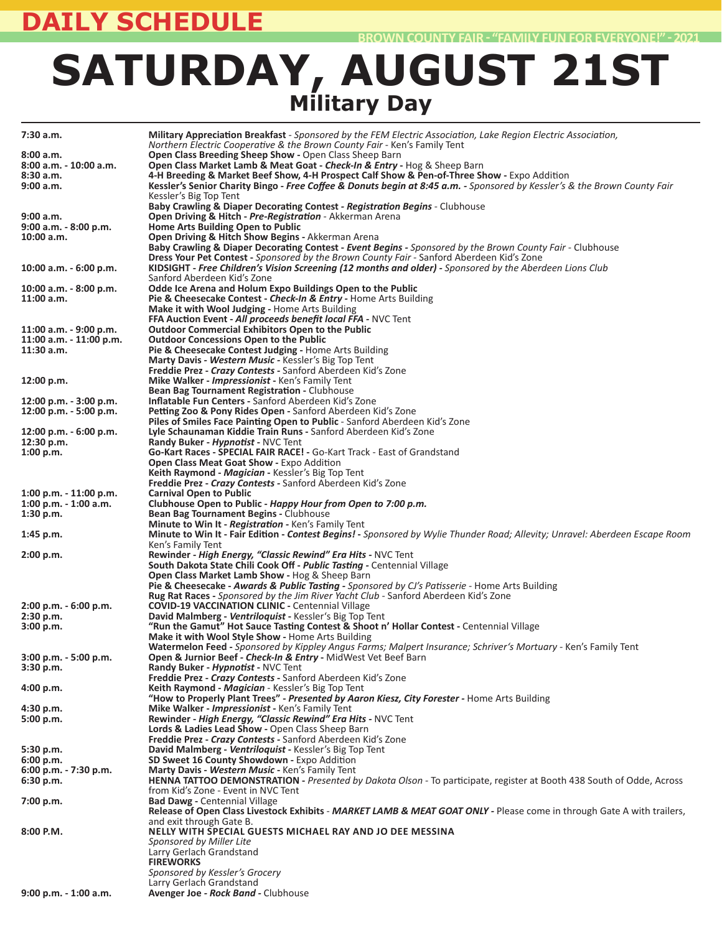### **DAILY SCHEDULE**

## **SATURDAY, AUGUST 21ST Military Day**

| 7:30 a.m.                             | Military Appreciation Breakfast - Sponsored by the FEM Electric Association, Lake Region Electric Association,                                                                                                       |
|---------------------------------------|----------------------------------------------------------------------------------------------------------------------------------------------------------------------------------------------------------------------|
|                                       | Northern Electric Cooperative & the Brown County Fair - Ken's Family Tent                                                                                                                                            |
| 8:00 a.m.<br>8:00 a.m. - 10:00 a.m.   | Open Class Breeding Sheep Show - Open Class Sheep Barn<br><b>Open Class Market Lamb &amp; Meat Goat - Check-In &amp; Entry - Hog &amp; Sheep Barn</b>                                                                |
| 8:30a.m.                              | 4-H Breeding & Market Beef Show, 4-H Prospect Calf Show & Pen-of-Three Show - Expo Addition                                                                                                                          |
| 9:00 a.m.                             | Kessler's Senior Charity Bingo - Free Coffee & Donuts begin at 8:45 a.m. - Sponsored by Kessler's & the Brown County Fair                                                                                            |
|                                       | Kessler's Big Top Tent<br>Baby Crawling & Diaper Decorating Contest - Registration Begins - Clubhouse                                                                                                                |
| 9:00 a.m.                             | Open Driving & Hitch - Pre-Registration - Akkerman Arena                                                                                                                                                             |
| 9:00 a.m. - 8:00 p.m.                 | Home Arts Building Open to Public                                                                                                                                                                                    |
| 10:00 a.m.                            | Open Driving & Hitch Show Begins - Akkerman Arena                                                                                                                                                                    |
|                                       | Baby Crawling & Diaper Decorating Contest - Event Begins - Sponsored by the Brown County Fair - Clubhouse<br><b>Dress Your Pet Contest</b> - <i>Sponsored by the Brown County Fair</i> - Sanford Aberdeen Kid's Zone |
| 10:00 a.m. - 6:00 p.m.                | KIDSIGHT - Free Children's Vision Screening (12 months and older) - Sponsored by the Aberdeen Lions Club                                                                                                             |
|                                       | Sanford Aberdeen Kid's Zone                                                                                                                                                                                          |
| 10:00 a.m. - 8:00 p.m.<br>11:00 a.m.  | Odde Ice Arena and Holum Expo Buildings Open to the Public<br>Pie & Cheesecake Contest - Check-In & Entry - Home Arts Building                                                                                       |
|                                       | Make it with Wool Judging - Home Arts Building                                                                                                                                                                       |
|                                       | <b>FFA Auction Event - All proceeds benefit local FFA - NVC Tent</b>                                                                                                                                                 |
| 11:00 a.m. - 9:00 p.m.                | <b>Outdoor Commercial Exhibitors Open to the Public</b>                                                                                                                                                              |
| 11:00 a.m. - 11:00 p.m.<br>11:30 a.m. | <b>Outdoor Concessions Open to the Public</b><br>Pie & Cheesecake Contest Judging - Home Arts Building                                                                                                               |
|                                       | Marty Davis - Western Music - Kessler's Big Top Tent                                                                                                                                                                 |
|                                       | <b>Freddie Prez - Crazy Contests -</b> Sanford Aberdeen Kid's Zone                                                                                                                                                   |
| 12:00 p.m.                            | <b>Mike Walker - Impressionist -</b> Ken's Family Tent                                                                                                                                                               |
| 12:00 p.m. - 3:00 p.m.                | Bean Bag Tournament Registration - Clubhouse<br><b>Inflatable Fun Centers - Sanford Aberdeen Kid's Zone</b>                                                                                                          |
| 12:00 p.m. - 5:00 p.m.                | Petting Zoo & Pony Rides Open - Sanford Aberdeen Kid's Zone                                                                                                                                                          |
|                                       | Piles of Smiles Face Painting Open to Public - Sanford Aberdeen Kid's Zone                                                                                                                                           |
| 12:00 p.m. - 6:00 p.m.                | Lyle Schaunaman Kiddie Train Runs - Sanford Aberdeen Kid's Zone<br>Randy Buker - Hypnotist - NVC Tent                                                                                                                |
| 12:30 p.m.<br>1:00 p.m.               | <b>Go-Kart Races - SPECIAL FAIR RACE! - Go-Kart Track - East of Grandstand</b>                                                                                                                                       |
|                                       | Open Class Meat Goat Show - Expo Addition                                                                                                                                                                            |
|                                       | Keith Raymond - Magician - Kessler's Big Top Tent                                                                                                                                                                    |
| $1:00$ p.m. $-11:00$ p.m.             | Freddie Prez - Crazy Contests - Sanford Aberdeen Kid's Zone<br><b>Carnival Open to Public</b>                                                                                                                        |
| $1:00$ p.m. $-1:00$ a.m.              | Clubhouse Open to Public - Happy Hour from Open to 7:00 p.m.                                                                                                                                                         |
| 1:30 p.m.                             | Bean Bag Tournament Begins - Clubhouse                                                                                                                                                                               |
|                                       | Minute to Win It - Registration - Ken's Family Tent                                                                                                                                                                  |
| $1:45$ p.m.                           | Minute to Win It - Fair Edition - Contest Begins! - Sponsored by Wylie Thunder Road; Allevity; Unravel: Aberdeen Escape Room<br>Ken's Family Tent                                                                    |
| 2:00 p.m.                             | Rewinder - High Energy, "Classic Rewind" Era Hits - NVC Tent                                                                                                                                                         |
|                                       | South Dakota State Chili Cook Off - Public Tasting - Centennial Village                                                                                                                                              |
|                                       | <b>Open Class Market Lamb Show - Hog &amp; Sheep Barn</b><br>Pie & Cheesecake - Awards & Public Tasting - Sponsored by CJ's Patisserie - Home Arts Building                                                          |
|                                       | Rug Rat Races - Sponsored by the Jim River Yacht Club - Sanford Aberdeen Kid's Zone                                                                                                                                  |
| 2:00 p.m. - 6:00 p.m.                 | <b>COVID-19 VACCINATION CLINIC - Centennial Village</b>                                                                                                                                                              |
| 2:30 p.m.                             | David Malmberg - Ventriloquist - Kessler's Big Top Tent                                                                                                                                                              |
| 3:00 p.m.                             | "Run the Gamut" Hot Sauce Tasting Contest & Shoot n' Hollar Contest - Centennial Village<br>Make it with Wool Style Show - Home Arts Building                                                                        |
|                                       | Watermelon Feed - Sponsored by Kippley Angus Farms; Malpert Insurance; Schriver's Mortuary - Ken's Family Tent                                                                                                       |
| 3:00 p.m. - 5:00 p.m.                 | Open & Jurnior Beef - Check-In & Entry - MidWest Vet Beef Barn                                                                                                                                                       |
| 3:30 p.m.                             | <b>Randy Buker - Hypnotist - NVC Tent</b><br>Freddie Prez - Crazy Contests - Sanford Aberdeen Kid's Zone                                                                                                             |
| 4:00 p.m.                             | Keith Raymond - Magician - Kessler's Big Top Tent                                                                                                                                                                    |
|                                       | "How to Properly Plant Trees" - Presented by Aaron Kiesz, City Forester - Home Arts Building                                                                                                                         |
| 4:30 p.m.                             | Mike Walker - Impressionist - Ken's Family Tent                                                                                                                                                                      |
| 5:00 p.m.                             | Rewinder - High Energy, "Classic Rewind" Era Hits - NVC Tent<br>Lords & Ladies Lead Show - Open Class Sheep Barn                                                                                                     |
|                                       | Freddie Prez - Crazy Contests - Sanford Aberdeen Kid's Zone                                                                                                                                                          |
| 5:30 p.m.                             | David Malmberg - Ventriloguist - Kessler's Big Top Tent                                                                                                                                                              |
| 6:00 p.m.<br>6:00 p.m. - 7:30 p.m.    | SD Sweet 16 County Showdown - Expo Addition<br>Marty Davis - Western Music - Ken's Family Tent                                                                                                                       |
| 6:30 p.m.                             | HENNA TATTOO DEMONSTRATION - Presented by Dakota Olson - To participate, register at Booth 438 South of Odde, Across                                                                                                 |
|                                       | from Kid's Zone - Event in NVC Tent                                                                                                                                                                                  |
| 7:00 p.m.                             | <b>Bad Dawg - Centennial Village</b><br>Release of Open Class Livestock Exhibits - MARKET LAMB & MEAT GOAT ONLY - Please come in through Gate A with trailers,                                                       |
|                                       | and exit through Gate B.                                                                                                                                                                                             |
| 8:00 P.M.                             | NELLY WITH SPECIAL GUESTS MICHAEL RAY AND JO DEE MESSINA                                                                                                                                                             |
|                                       | Sponsored by Miller Lite                                                                                                                                                                                             |
|                                       | Larry Gerlach Grandstand<br><b>FIREWORKS</b>                                                                                                                                                                         |
|                                       | Sponsored by Kessler's Grocery                                                                                                                                                                                       |
|                                       | Larry Gerlach Grandstand                                                                                                                                                                                             |
| 9:00 p.m. - 1:00 a.m.                 | Avenger Joe - Rock Band - Clubhouse                                                                                                                                                                                  |
|                                       |                                                                                                                                                                                                                      |